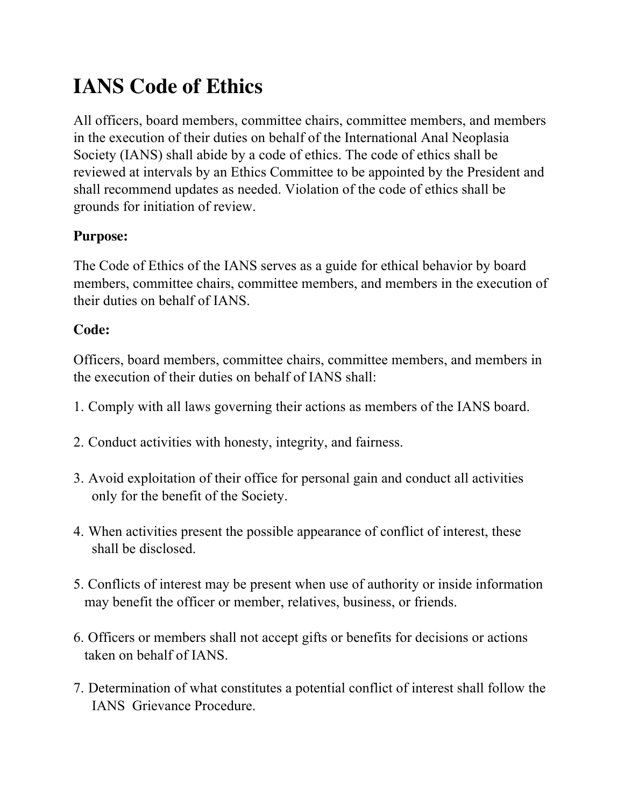# **IANS Code of Ethics**

All officers, board members, committee chairs, committee members, and members in the execution of their duties on behalf of the International Anal Neoplasia Society (IANS) shall abide by a code of ethics. The code of ethics shall be reviewed at intervals by an Ethics Committee to be appointed by the President and shall recommend updates as needed. Violation of the code of ethics shall be grounds for initiation of review.

## **Purpose:**

The Code of Ethics of the IANS serves as a guide for ethical behavior by board members, committee chairs, committee members, and members in the execution of their duties on behalf of IANS.

#### **Code:**

Officers, board members, committee chairs, committee members, and members in the execution of their duties on behalf of IANS shall:

- 1. Comply with all laws governing their actions as members of the IANS board.
- 2. Conduct activities with honesty, integrity, and fairness.
- 3. Avoid exploitation of their office for personal gain and conduct all activities only for the benefit of the Society.
- 4. When activities present the possible appearance of conflict of interest, these shall be disclosed.
- 5. Conflicts of interest may be present when use of authority or inside information may benefit the officer or member, relatives, business, or friends.
- 6. Officers or members shall not accept gifts or benefits for decisions or actions taken on behalf of IANS.
- 7. Determination of what constitutes a potential conflict of interest shall follow the IANS Grievance Procedure.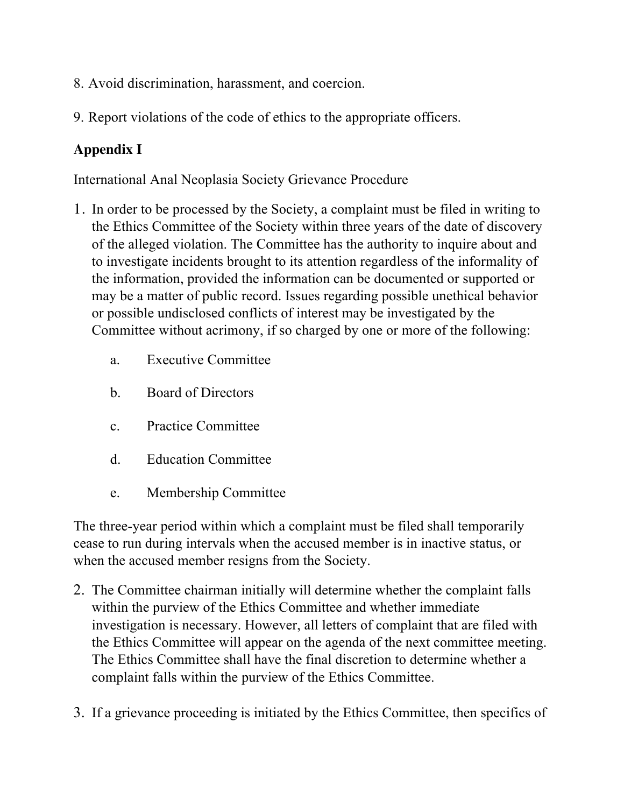- 8. Avoid discrimination, harassment, and coercion.
- 9. Report violations of the code of ethics to the appropriate officers.

# **Appendix I**

International Anal Neoplasia Society Grievance Procedure

- 1. In order to be processed by the Society, a complaint must be filed in writing to the Ethics Committee of the Society within three years of the date of discovery of the alleged violation. The Committee has the authority to inquire about and to investigate incidents brought to its attention regardless of the informality of the information, provided the information can be documented or supported or may be a matter of public record. Issues regarding possible unethical behavior or possible undisclosed conflicts of interest may be investigated by the Committee without acrimony, if so charged by one or more of the following:
	- a. Executive Committee
	- b. Board of Directors
	- c. Practice Committee
	- d. Education Committee
	- e. Membership Committee

The three-year period within which a complaint must be filed shall temporarily cease to run during intervals when the accused member is in inactive status, or when the accused member resigns from the Society.

- 2. The Committee chairman initially will determine whether the complaint falls within the purview of the Ethics Committee and whether immediate investigation is necessary. However, all letters of complaint that are filed with the Ethics Committee will appear on the agenda of the next committee meeting. The Ethics Committee shall have the final discretion to determine whether a complaint falls within the purview of the Ethics Committee.
- 3. If a grievance proceeding is initiated by the Ethics Committee, then specifics of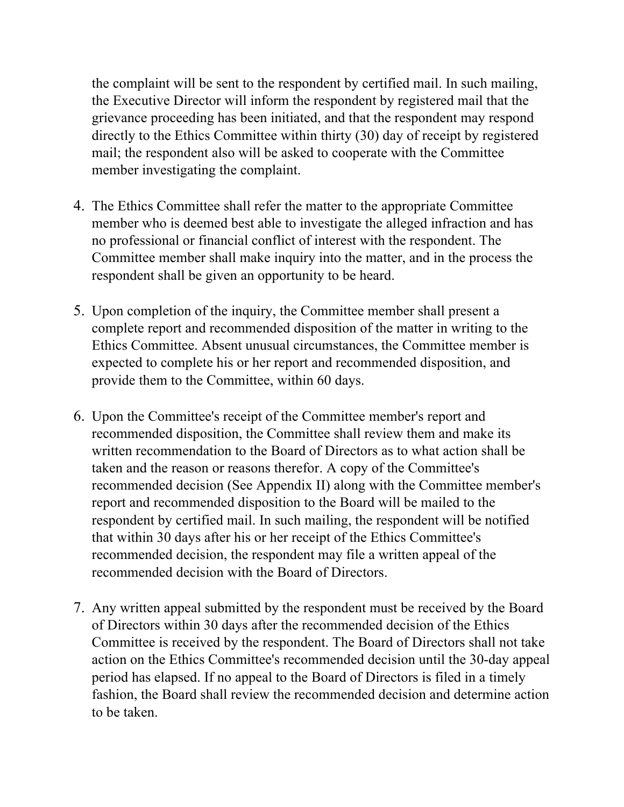the complaint will be sent to the respondent by certified mail. In such mailing, the Executive Director will inform the respondent by registered mail that the grievance proceeding has been initiated, and that the respondent may respond directly to the Ethics Committee within thirty (30) day of receipt by registered mail; the respondent also will be asked to cooperate with the Committee member investigating the complaint.

- 4. The Ethics Committee shall refer the matter to the appropriate Committee member who is deemed best able to investigate the alleged infraction and has no professional or financial conflict of interest with the respondent. The Committee member shall make inquiry into the matter, and in the process the respondent shall be given an opportunity to be heard.
- 5. Upon completion of the inquiry, the Committee member shall present a complete report and recommended disposition of the matter in writing to the Ethics Committee. Absent unusual circumstances, the Committee member is expected to complete his or her report and recommended disposition, and provide them to the Committee, within 60 days.
- 6. Upon the Committee's receipt of the Committee member's report and recommended disposition, the Committee shall review them and make its written recommendation to the Board of Directors as to what action shall be taken and the reason or reasons therefor. A copy of the Committee's recommended decision (See Appendix II) along with the Committee member's report and recommended disposition to the Board will be mailed to the respondent by certified mail. In such mailing, the respondent will be notified that within 30 days after his or her receipt of the Ethics Committee's recommended decision, the respondent may file a written appeal of the recommended decision with the Board of Directors.
- 7. Any written appeal submitted by the respondent must be received by the Board of Directors within 30 days after the recommended decision of the Ethics Committee is received by the respondent. The Board of Directors shall not take action on the Ethics Committee's recommended decision until the 30-day appeal period has elapsed. If no appeal to the Board of Directors is filed in a timely fashion, the Board shall review the recommended decision and determine action to be taken.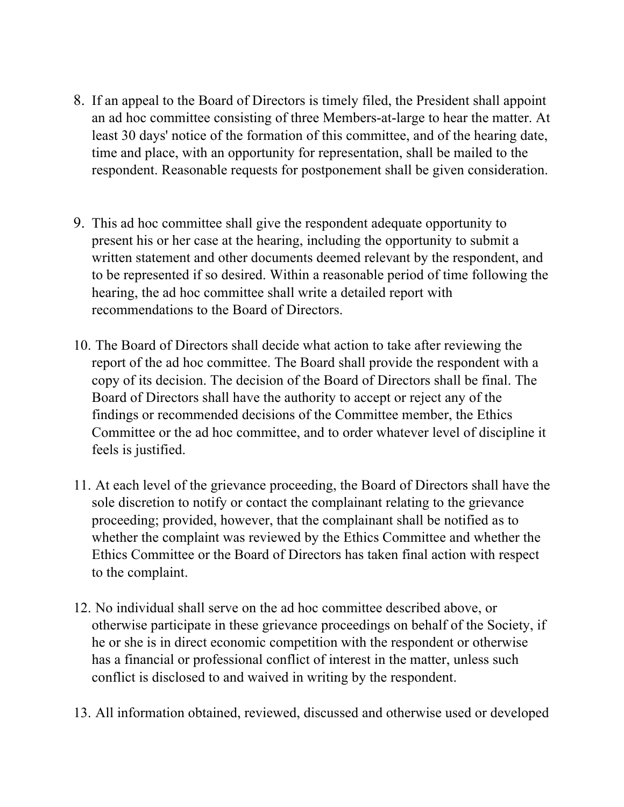- 8. If an appeal to the Board of Directors is timely filed, the President shall appoint an ad hoc committee consisting of three Members-at-large to hear the matter. At least 30 days' notice of the formation of this committee, and of the hearing date, time and place, with an opportunity for representation, shall be mailed to the respondent. Reasonable requests for postponement shall be given consideration.
- 9. This ad hoc committee shall give the respondent adequate opportunity to present his or her case at the hearing, including the opportunity to submit a written statement and other documents deemed relevant by the respondent, and to be represented if so desired. Within a reasonable period of time following the hearing, the ad hoc committee shall write a detailed report with recommendations to the Board of Directors.
- 10. The Board of Directors shall decide what action to take after reviewing the report of the ad hoc committee. The Board shall provide the respondent with a copy of its decision. The decision of the Board of Directors shall be final. The Board of Directors shall have the authority to accept or reject any of the findings or recommended decisions of the Committee member, the Ethics Committee or the ad hoc committee, and to order whatever level of discipline it feels is justified.
- 11. At each level of the grievance proceeding, the Board of Directors shall have the sole discretion to notify or contact the complainant relating to the grievance proceeding; provided, however, that the complainant shall be notified as to whether the complaint was reviewed by the Ethics Committee and whether the Ethics Committee or the Board of Directors has taken final action with respect to the complaint.
- 12. No individual shall serve on the ad hoc committee described above, or otherwise participate in these grievance proceedings on behalf of the Society, if he or she is in direct economic competition with the respondent or otherwise has a financial or professional conflict of interest in the matter, unless such conflict is disclosed to and waived in writing by the respondent.
- 13. All information obtained, reviewed, discussed and otherwise used or developed